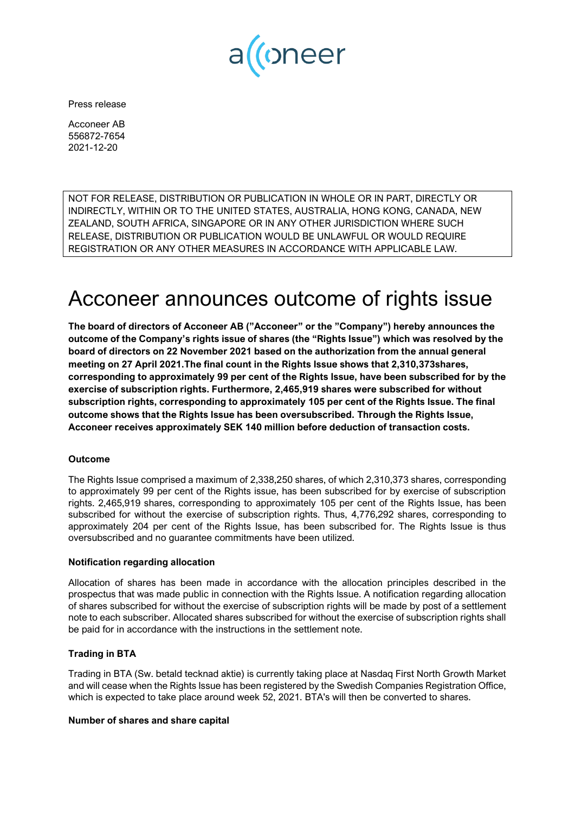

Press release

Acconeer AB 556872-7654 2021-12-20

NOT FOR RELEASE, DISTRIBUTION OR PUBLICATION IN WHOLE OR IN PART, DIRECTLY OR INDIRECTLY, WITHIN OR TO THE UNITED STATES, AUSTRALIA, HONG KONG, CANADA, NEW ZEALAND, SOUTH AFRICA, SINGAPORE OR IN ANY OTHER JURISDICTION WHERE SUCH RELEASE, DISTRIBUTION OR PUBLICATION WOULD BE UNLAWFUL OR WOULD REQUIRE REGISTRATION OR ANY OTHER MEASURES IN ACCORDANCE WITH APPLICABLE LAW.

# Acconeer announces outcome of rights issue

**The board of directors of Acconeer AB ("Acconeer" or the "Company") hereby announces the outcome of the Company's rights issue of shares (the "Rights Issue") which was resolved by the board of directors on 22 November 2021 based on the authorization from the annual general meeting on 27 April 2021.The final count in the Rights Issue shows that 2,310,373shares, corresponding to approximately 99 per cent of the Rights Issue, have been subscribed for by the exercise of subscription rights. Furthermore, 2,465,919 shares were subscribed for without subscription rights, corresponding to approximately 105 per cent of the Rights Issue. The final outcome shows that the Rights Issue has been oversubscribed. Through the Rights Issue, Acconeer receives approximately SEK 140 million before deduction of transaction costs.**

# **Outcome**

The Rights Issue comprised a maximum of 2,338,250 shares, of which 2,310,373 shares, corresponding to approximately 99 per cent of the Rights issue, has been subscribed for by exercise of subscription rights. 2,465,919 shares, corresponding to approximately 105 per cent of the Rights Issue, has been subscribed for without the exercise of subscription rights. Thus, 4,776,292 shares, corresponding to approximately 204 per cent of the Rights Issue, has been subscribed for. The Rights Issue is thus oversubscribed and no guarantee commitments have been utilized.

# **Notification regarding allocation**

Allocation of shares has been made in accordance with the allocation principles described in the prospectus that was made public in connection with the Rights Issue. A notification regarding allocation of shares subscribed for without the exercise of subscription rights will be made by post of a settlement note to each subscriber. Allocated shares subscribed for without the exercise of subscription rights shall be paid for in accordance with the instructions in the settlement note.

# **Trading in BTA**

Trading in BTA (Sw. betald tecknad aktie) is currently taking place at Nasdaq First North Growth Market and will cease when the Rights Issue has been registered by the Swedish Companies Registration Office, which is expected to take place around week 52, 2021. BTA's will then be converted to shares.

# **Number of shares and share capital**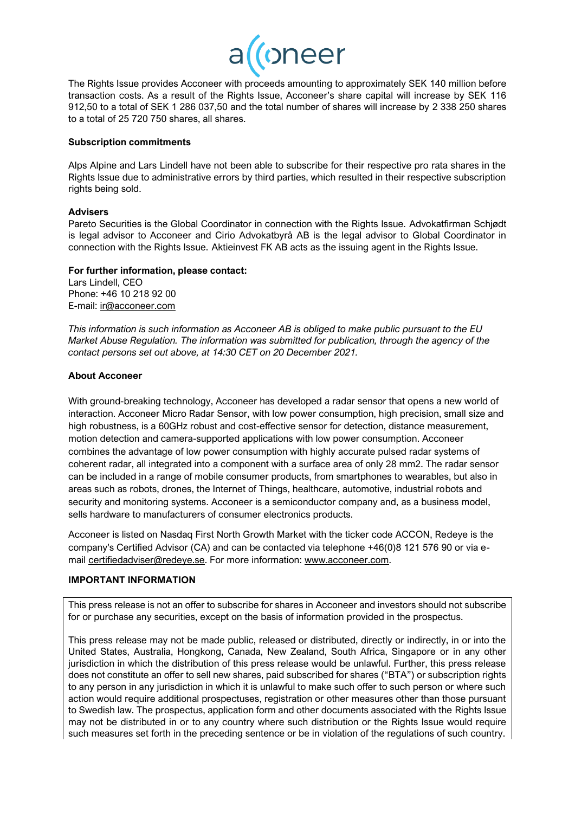

The Rights Issue provides Acconeer with proceeds amounting to approximately SEK 140 million before transaction costs. As a result of the Rights Issue, Acconeer's share capital will increase by SEK 116 912,50 to a total of SEK 1 286 037,50 and the total number of shares will increase by 2 338 250 shares to a total of 25 720 750 shares, all shares.

#### **Subscription commitments**

Alps Alpine and Lars Lindell have not been able to subscribe for their respective pro rata shares in the Rights Issue due to administrative errors by third parties, which resulted in their respective subscription rights being sold.

#### **Advisers**

Pareto Securities is the Global Coordinator in connection with the Rights Issue. Advokatfirman Schjødt is legal advisor to Acconeer and Cirio Advokatbyrå AB is the legal advisor to Global Coordinator in connection with the Rights Issue. Aktieinvest FK AB acts as the issuing agent in the Rights Issue.

#### **For further information, please contact:**

Lars Lindell, CEO Phone: +46 10 218 92 00 E-mail: [ir@acconeer.com](mailto:ir@acconeer.com)

*This information is such information as Acconeer AB is obliged to make public pursuant to the EU Market Abuse Regulation. The information was submitted for publication, through the agency of the contact persons set out above, at 14:30 CET on 20 December 2021.*

#### **About Acconeer**

With ground-breaking technology, Acconeer has developed a radar sensor that opens a new world of interaction. Acconeer Micro Radar Sensor, with low power consumption, high precision, small size and high robustness, is a 60GHz robust and cost-effective sensor for detection, distance measurement, motion detection and camera-supported applications with low power consumption. Acconeer combines the advantage of low power consumption with highly accurate pulsed radar systems of coherent radar, all integrated into a component with a surface area of only 28 mm2. The radar sensor can be included in a range of mobile consumer products, from smartphones to wearables, but also in areas such as robots, drones, the Internet of Things, healthcare, automotive, industrial robots and security and monitoring systems. Acconeer is a semiconductor company and, as a business model, sells hardware to manufacturers of consumer electronics products.

Acconeer is listed on Nasdaq First North Growth Market with the ticker code ACCON, Redeye is the company's Certified Advisor (CA) and can be contacted via telephone +46(0)8 121 576 90 or via email [certifiedadviser@redeye.se.](mailto:certifiedadviser@redeye.se) For more information: [www.acconeer.com.](http://www.acconeer.com/)

#### **IMPORTANT INFORMATION**

This press release is not an offer to subscribe for shares in Acconeer and investors should not subscribe for or purchase any securities, except on the basis of information provided in the prospectus.

This press release may not be made public, released or distributed, directly or indirectly, in or into the United States, Australia, Hongkong, Canada, New Zealand, South Africa, Singapore or in any other jurisdiction in which the distribution of this press release would be unlawful. Further, this press release does not constitute an offer to sell new shares, paid subscribed for shares ("BTA") or subscription rights to any person in any jurisdiction in which it is unlawful to make such offer to such person or where such action would require additional prospectuses, registration or other measures other than those pursuant to Swedish law. The prospectus, application form and other documents associated with the Rights Issue may not be distributed in or to any country where such distribution or the Rights Issue would require such measures set forth in the preceding sentence or be in violation of the regulations of such country.